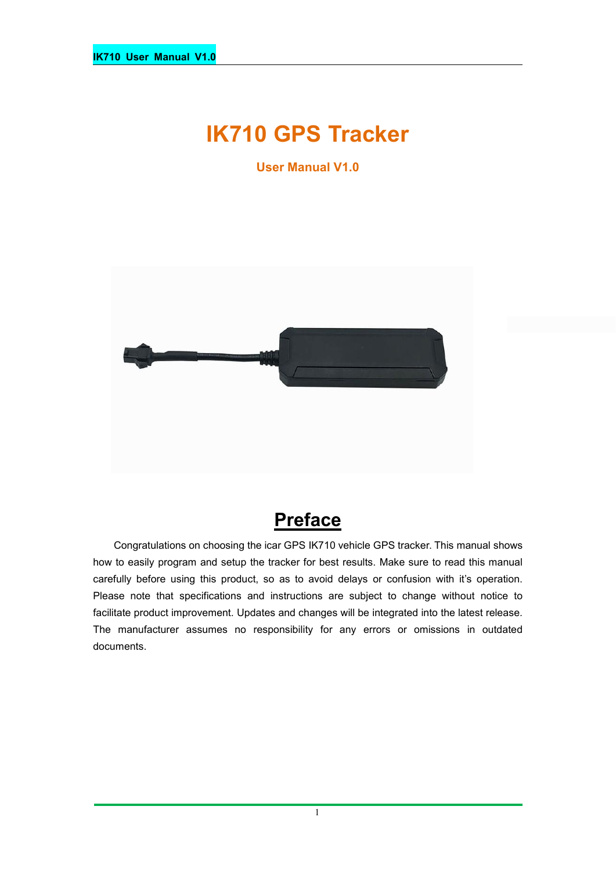# **IK710 GPS Tracker**

**User Manual V1.0**



## **Preface**

Congratulations on choosing the icar GPS IK710 vehicle GPS tracker. This manual shows how to easily program and setup the tracker for best results. Make sure to read this manual carefully before using this product, so as to avoid delays or confusion with it's operation. Please note that specifications and instructions are subject to change without notice to facilitate product improvement. Updates and changes will be integrated into the latest release. The manufacturer assumes no responsibility for any errors or omissions in outdated documents.

1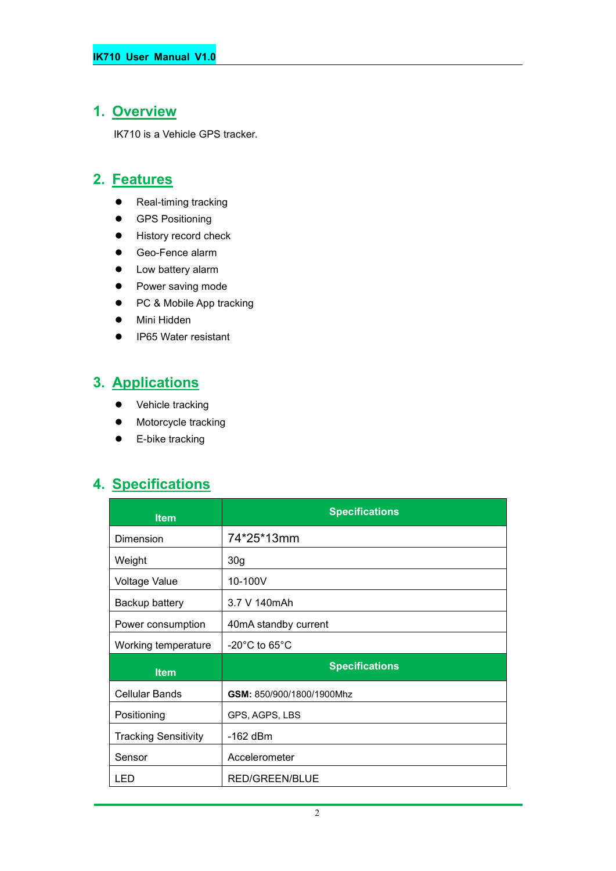#### **1. Overview**

IK710 is a Vehicle GPS tracker.

#### **2. Features**

- Real-timing tracking
- **•** GPS Positioning
- **•** History record check
- Geo-Fence alarm
- Low battery alarm
- Power saving mode
- PC & Mobile App tracking
- Mini Hidden
- IP65 Water resistant

### **3. Applications**

- Vehicle tracking
- $\bullet$  Motorcycle tracking
- **•** E-bike tracking

#### **4. Specifications**

| <b>Item</b>                 | <b>Specifications</b>              |  |
|-----------------------------|------------------------------------|--|
| Dimension                   | 74*25*13mm                         |  |
| Weight                      | 30 <sub>g</sub>                    |  |
| <b>Voltage Value</b>        | 10-100V                            |  |
| Backup battery              | 3.7 V 140mAh                       |  |
| Power consumption           | 40mA standby current               |  |
| Working temperature         | $-20^{\circ}$ C to 65 $^{\circ}$ C |  |
| <b>Item</b>                 | <b>Specifications</b>              |  |
| Cellular Bands              | GSM: 850/900/1800/1900Mhz          |  |
| Positioning                 | GPS, AGPS, LBS                     |  |
| <b>Tracking Sensitivity</b> | $-162$ dBm                         |  |
| Sensor                      | Accelerometer                      |  |
| LED                         | <b>RED/GREEN/BLUE</b>              |  |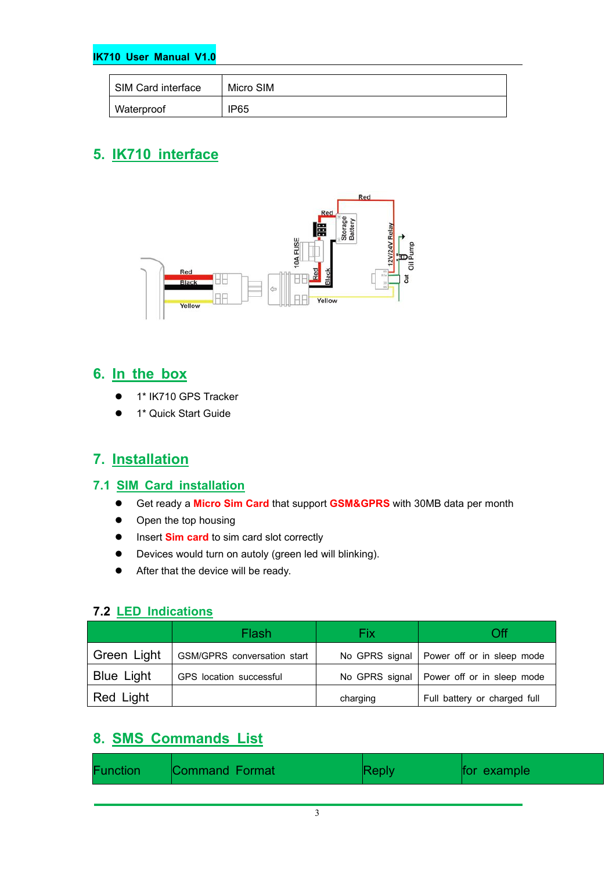#### **IK710 User Manual V1.0**

| SIM Card interface | Micro SIM |
|--------------------|-----------|
| Waterproof         | IP65      |

### **5. IK710 interface**



#### **6. In the box**

- 1\* IK710 GPS Tracker
- 1\* Quick Start Guide

### **7. Installation**

#### **7.1 SIM Card installation**

- Get ready a **Micro Sim Card** that support GSM&GPRS with 30MB data per month
- Open the top housing
- Insert **Sim card** to sim card slot correctly
- Devices would turn on autoly (green led will blinking).
- After that the device will be ready.

#### **7.2 LED Indications**

|                   | Flash                       | Fix      | Оff                                         |
|-------------------|-----------------------------|----------|---------------------------------------------|
| Green Light       | GSM/GPRS conversation start |          | No GPRS signal   Power off or in sleep mode |
| <b>Blue Light</b> | GPS location successful     |          | No GPRS signal   Power off or in sleep mode |
| Red Light         |                             | charging | Full battery or charged full                |

#### **8. SMS Commands List**

| Function<br>Command Format |  | for example |
|----------------------------|--|-------------|
|----------------------------|--|-------------|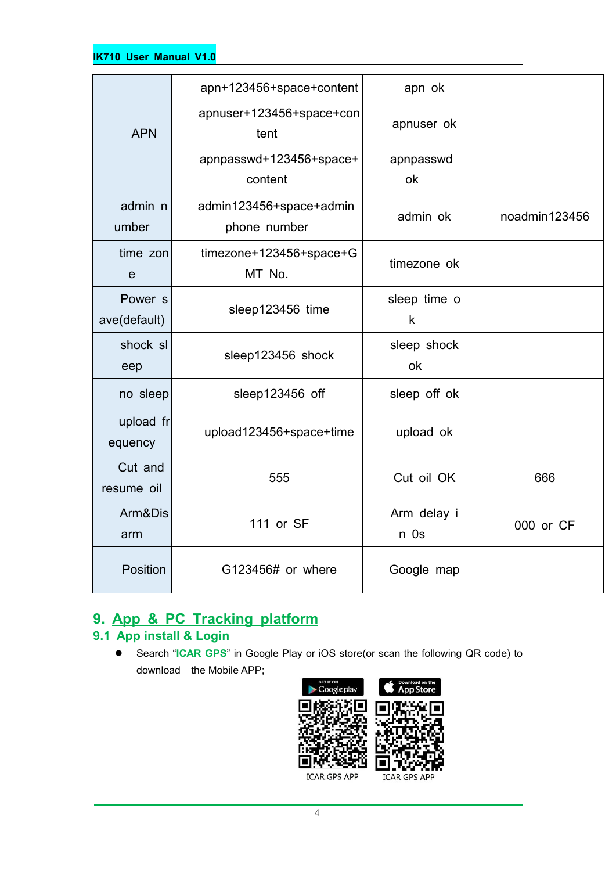| apn+123456+space+content<br>apn ok<br>apnuser+123456+space+con<br>apnuser ok<br><b>APN</b><br>tent<br>apnpasswd+123456+space+<br>apnpasswd<br>content<br>ok<br>admin n<br>admin123456+space+admin<br>admin ok<br>noadmin123456<br>umber<br>phone number<br>time zon<br>timezone+123456+space+G<br>timezone ok<br>MT No.<br>e<br>sleep time o<br>Power <sub>s</sub><br>sleep123456 time<br>ave(default)<br>k<br>shock sl<br>sleep shock<br>sleep123456 shock<br>ok<br>eep<br>sleep123456 off<br>sleep off ok<br>no sleep<br>upload fr<br>upload123456+space+time<br>upload ok<br>equency<br>Cut and<br>555<br>Cut oil OK<br>666<br>resume oil<br>Arm&Dis<br>Arm delay i<br>111 or SF<br>000 or CF<br>n Os<br>arm<br>Position<br>G123456# or where<br>Google map |  |  |
|----------------------------------------------------------------------------------------------------------------------------------------------------------------------------------------------------------------------------------------------------------------------------------------------------------------------------------------------------------------------------------------------------------------------------------------------------------------------------------------------------------------------------------------------------------------------------------------------------------------------------------------------------------------------------------------------------------------------------------------------------------------|--|--|
|                                                                                                                                                                                                                                                                                                                                                                                                                                                                                                                                                                                                                                                                                                                                                                |  |  |
|                                                                                                                                                                                                                                                                                                                                                                                                                                                                                                                                                                                                                                                                                                                                                                |  |  |
|                                                                                                                                                                                                                                                                                                                                                                                                                                                                                                                                                                                                                                                                                                                                                                |  |  |
|                                                                                                                                                                                                                                                                                                                                                                                                                                                                                                                                                                                                                                                                                                                                                                |  |  |
|                                                                                                                                                                                                                                                                                                                                                                                                                                                                                                                                                                                                                                                                                                                                                                |  |  |
|                                                                                                                                                                                                                                                                                                                                                                                                                                                                                                                                                                                                                                                                                                                                                                |  |  |
|                                                                                                                                                                                                                                                                                                                                                                                                                                                                                                                                                                                                                                                                                                                                                                |  |  |
|                                                                                                                                                                                                                                                                                                                                                                                                                                                                                                                                                                                                                                                                                                                                                                |  |  |
|                                                                                                                                                                                                                                                                                                                                                                                                                                                                                                                                                                                                                                                                                                                                                                |  |  |
|                                                                                                                                                                                                                                                                                                                                                                                                                                                                                                                                                                                                                                                                                                                                                                |  |  |
|                                                                                                                                                                                                                                                                                                                                                                                                                                                                                                                                                                                                                                                                                                                                                                |  |  |
|                                                                                                                                                                                                                                                                                                                                                                                                                                                                                                                                                                                                                                                                                                                                                                |  |  |

### **9. App & PC Tracking platform**

### **9.1 App install & Login**

 Search "**ICAR GPS**" in Google Play or iOS store(or scan the following QR code) to download the Mobile APP;

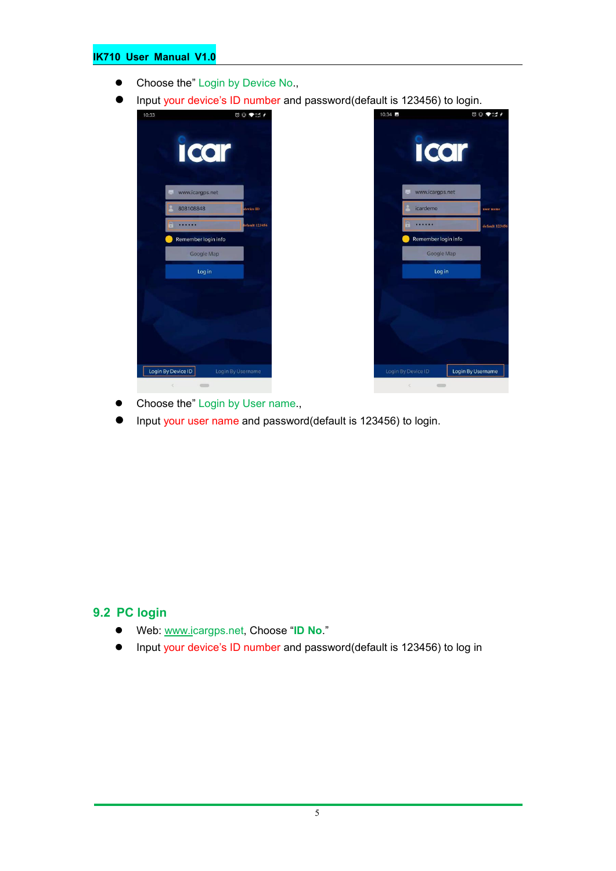#### **IK710 User Manual V1.0**

- Choose the" Login by Device No.,
- Input your device's ID number and password(default is 123456) to login.





- Choose the" Login by User name.,
- Input your user name and password(default is 123456) to login.

#### **9.2 PC login**

- Web: [www.ic](http://www.trackits.com)argps.net, Choose "**ID No**."
- Input your device's ID number and password(default is 123456) to log in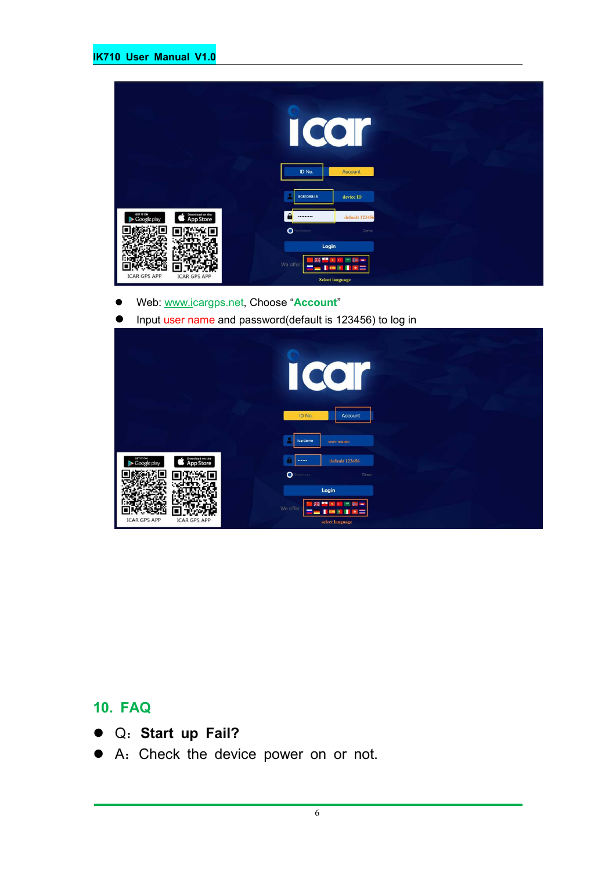|                                                                 | $\overline{\mathcal{C}}$<br>ID No. | Account                                              |
|-----------------------------------------------------------------|------------------------------------|------------------------------------------------------|
|                                                                 | 808108848                          | device ID                                            |
| GET IT ON<br>Download on the<br><b>App Store</b><br>Google play | $\mathbf{a}$<br>                   | default 123456                                       |
|                                                                 | $\bullet$<br>enember               | Demo                                                 |
|                                                                 | Login                              |                                                      |
| <b>ICAR GPS APP</b><br><b>ICAR GPS APP</b>                      | We offer                           | ٠<br>$\star$<br>$\epsilon$<br><b>Select language</b> |

- Web: [www.ic](http://www.trackits.com)argps.net, Choose "**Account**"
- Input user name and password(default is 123456) to log in

|                                                                 | CO<br>I                                                                           |
|-----------------------------------------------------------------|-----------------------------------------------------------------------------------|
|                                                                 | ID No.<br>Account<br>icardemo<br>user name                                        |
| GET IT ON<br>Download on the<br><b>App Store</b><br>Google play | default 123456<br><br>$\bullet$<br>enember<br>Demo                                |
| <b>ICAR GPS APP</b><br><b>ICAR GPS APP</b>                      | Login<br>÷<br>瑞<br>7,440<br>We offer<br>a i<br><b>COL</b><br>×<br>select language |

#### **10. FAQ**

- Q:**Start up Fail?**
- A:Check the device power on or not.